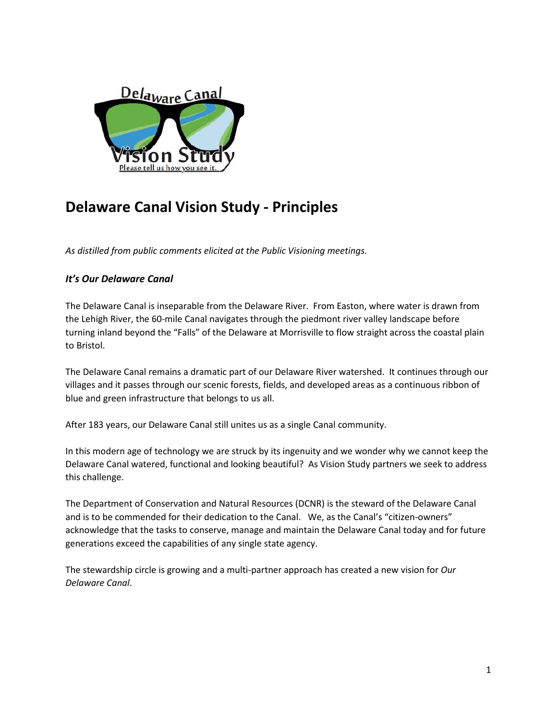

# **Delaware Canal Vision Study - Principles**

*As distilled from public comments elicited at the Public Visioning meetings.*

# *It's Our Delaware Canal*

The Delaware Canal is inseparable from the Delaware River. From Easton, where water is drawn from the Lehigh River, the 60-mile Canal navigates through the piedmont river valley landscape before turning inland beyond the "Falls" of the Delaware at Morrisville to flow straight across the coastal plain to Bristol.

The Delaware Canal remains a dramatic part of our Delaware River watershed. It continues through our villages and it passes through our scenic forests, fields, and developed areas as a continuous ribbon of blue and green infrastructure that belongs to us all.

After 183 years, our Delaware Canal still unites us as a single Canal community.

In this modern age of technology we are struck by its ingenuity and we wonder why we cannot keep the Delaware Canal watered, functional and looking beautiful? As Vision Study partners we seek to address this challenge.

The Department of Conservation and Natural Resources (DCNR) is the steward of the Delaware Canal and is to be commended for their dedication to the Canal. We, as the Canal's "citizen-owners" acknowledge that the tasks to conserve, manage and maintain the Delaware Canal today and for future generations exceed the capabilities of any single state agency.

The stewardship circle is growing and a multi-partner approach has created a new vision for *Our Delaware Canal*.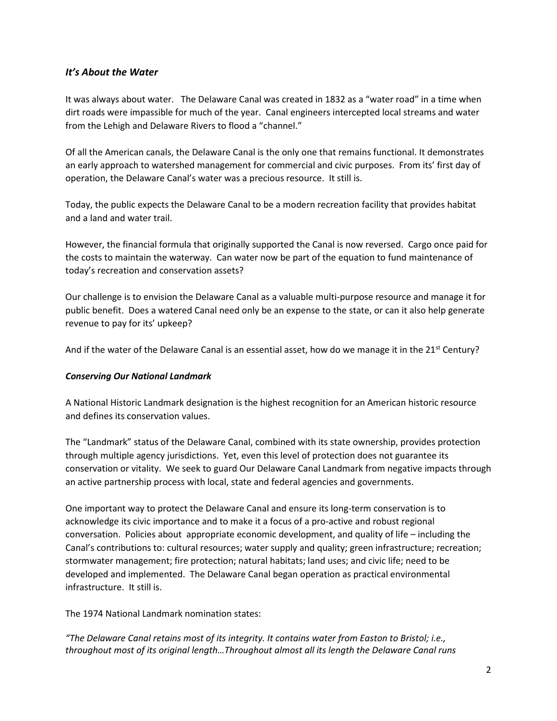## *It's About the Water*

It was always about water. The Delaware Canal was created in 1832 as a "water road" in a time when dirt roads were impassible for much of the year. Canal engineers intercepted local streams and water from the Lehigh and Delaware Rivers to flood a "channel."

Of all the American canals, the Delaware Canal is the only one that remains functional. It demonstrates an early approach to watershed management for commercial and civic purposes. From its' first day of operation, the Delaware Canal's water was a precious resource. It still is.

Today, the public expects the Delaware Canal to be a modern recreation facility that provides habitat and a land and water trail.

However, the financial formula that originally supported the Canal is now reversed. Cargo once paid for the costs to maintain the waterway. Can water now be part of the equation to fund maintenance of today's recreation and conservation assets?

Our challenge is to envision the Delaware Canal as a valuable multi-purpose resource and manage it for public benefit. Does a watered Canal need only be an expense to the state, or can it also help generate revenue to pay for its' upkeep?

And if the water of the Delaware Canal is an essential asset, how do we manage it in the 21st Century?

#### *Conserving Our National Landmark*

A National Historic Landmark designation is the highest recognition for an American historic resource and defines its conservation values.

The "Landmark" status of the Delaware Canal, combined with its state ownership, provides protection through multiple agency jurisdictions. Yet, even this level of protection does not guarantee its conservation or vitality. We seek to guard Our Delaware Canal Landmark from negative impacts through an active partnership process with local, state and federal agencies and governments.

One important way to protect the Delaware Canal and ensure its long-term conservation is to acknowledge its civic importance and to make it a focus of a pro-active and robust regional conversation. Policies about appropriate economic development, and quality of life – including the Canal's contributions to: cultural resources; water supply and quality; green infrastructure; recreation; stormwater management; fire protection; natural habitats; land uses; and civic life; need to be developed and implemented. The Delaware Canal began operation as practical environmental infrastructure. It still is.

The 1974 National Landmark nomination states:

*"The Delaware Canal retains most of its integrity. It contains water from Easton to Bristol; i.e., throughout most of its original length…Throughout almost all its length the Delaware Canal runs*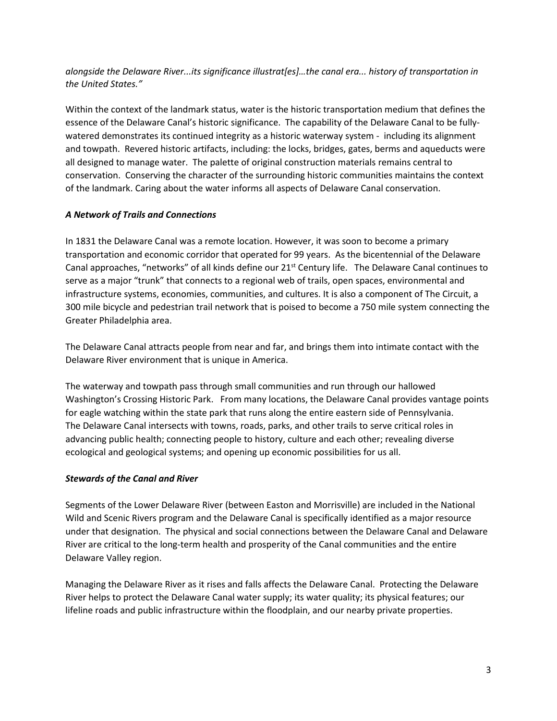*alongside the Delaware River...its significance illustrat[es]…the canal era... history of transportation in the United States."*

Within the context of the landmark status, water is the historic transportation medium that defines the essence of the Delaware Canal's historic significance. The capability of the Delaware Canal to be fullywatered demonstrates its continued integrity as a historic waterway system - including its alignment and towpath. Revered historic artifacts, including: the locks, bridges, gates, berms and aqueducts were all designed to manage water. The palette of original construction materials remains central to conservation. Conserving the character of the surrounding historic communities maintains the context of the landmark. Caring about the water informs all aspects of Delaware Canal conservation.

#### *A Network of Trails and Connections*

In 1831 the Delaware Canal was a remote location. However, it was soon to become a primary transportation and economic corridor that operated for 99 years. As the bicentennial of the Delaware Canal approaches, "networks" of all kinds define our 21<sup>st</sup> Century life. The Delaware Canal continues to serve as a major "trunk" that connects to a regional web of trails, open spaces, environmental and infrastructure systems, economies, communities, and cultures. It is also a component of The Circuit, a 300 mile bicycle and pedestrian trail network that is poised to become a 750 mile system connecting the Greater Philadelphia area.

The Delaware Canal attracts people from near and far, and brings them into intimate contact with the Delaware River environment that is unique in America.

The waterway and towpath pass through small communities and run through our hallowed Washington's Crossing Historic Park. From many locations, the Delaware Canal provides vantage points for eagle watching within the state park that runs along the entire eastern side of Pennsylvania. The Delaware Canal intersects with towns, roads, parks, and other trails to serve critical roles in advancing public health; connecting people to history, culture and each other; revealing diverse ecological and geological systems; and opening up economic possibilities for us all.

## *Stewards of the Canal and River*

Segments of the Lower Delaware River (between Easton and Morrisville) are included in the National Wild and Scenic Rivers program and the Delaware Canal is specifically identified as a major resource under that designation. The physical and social connections between the Delaware Canal and Delaware River are critical to the long-term health and prosperity of the Canal communities and the entire Delaware Valley region.

Managing the Delaware River as it rises and falls affects the Delaware Canal. Protecting the Delaware River helps to protect the Delaware Canal water supply; its water quality; its physical features; our lifeline roads and public infrastructure within the floodplain, and our nearby private properties.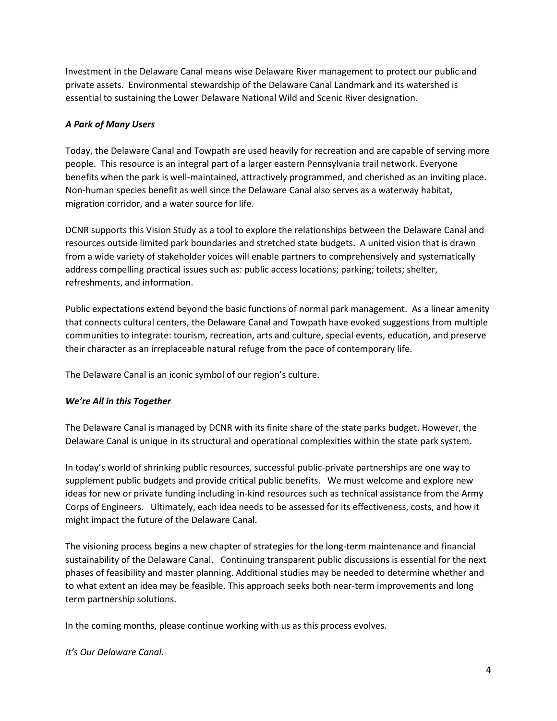Investment in the Delaware Canal means wise Delaware River management to protect our public and private assets. Environmental stewardship of the Delaware Canal Landmark and its watershed is essential to sustaining the Lower Delaware National Wild and Scenic River designation.

# *A Park of Many Users*

Today, the Delaware Canal and Towpath are used heavily for recreation and are capable of serving more people. This resource is an integral part of a larger eastern Pennsylvania trail network. Everyone benefits when the park is well-maintained, attractively programmed, and cherished as an inviting place. Non-human species benefit as well since the Delaware Canal also serves as a waterway habitat, migration corridor, and a water source for life.

DCNR supports this Vision Study as a tool to explore the relationships between the Delaware Canal and resources outside limited park boundaries and stretched state budgets. A united vision that is drawn from a wide variety of stakeholder voices will enable partners to comprehensively and systematically address compelling practical issues such as: public access locations; parking; toilets; shelter, refreshments, and information.

Public expectations extend beyond the basic functions of normal park management. As a linear amenity that connects cultural centers, the Delaware Canal and Towpath have evoked suggestions from multiple communities to integrate: tourism, recreation, arts and culture, special events, education, and preserve their character as an irreplaceable natural refuge from the pace of contemporary life.

The Delaware Canal is an iconic symbol of our region's culture.

## *We're All in this Together*

The Delaware Canal is managed by DCNR with its finite share of the state parks budget. However, the Delaware Canal is unique in its structural and operational complexities within the state park system.

In today's world of shrinking public resources, successful public-private partnerships are one way to supplement public budgets and provide critical public benefits. We must welcome and explore new ideas for new or private funding including in-kind resources such as technical assistance from the Army Corps of Engineers. Ultimately, each idea needs to be assessed for its effectiveness, costs, and how it might impact the future of the Delaware Canal.

The visioning process begins a new chapter of strategies for the long-term maintenance and financial sustainability of the Delaware Canal. Continuing transparent public discussions is essential for the next phases of feasibility and master planning. Additional studies may be needed to determine whether and to what extent an idea may be feasible. This approach seeks both near-term improvements and long term partnership solutions.

In the coming months, please continue working with us as this process evolves.

*It's Our Delaware Canal.*